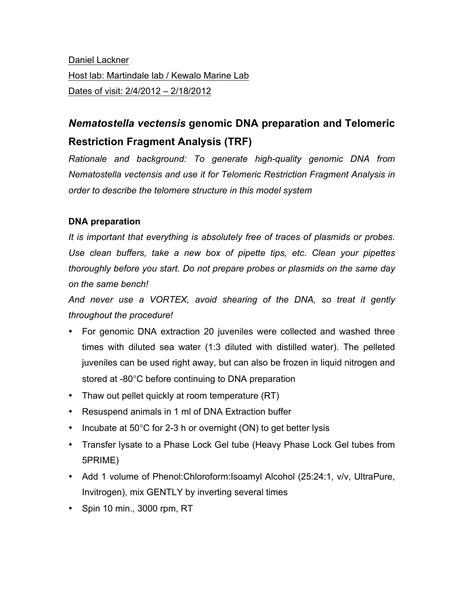Daniel Lackner Host lab: Martindale lab / Kewalo Marine Lab Dates of visit: 2/4/2012 – 2/18/2012

# *Nematostella vectensis* **genomic DNA preparation and Telomeric Restriction Fragment Analysis (TRF)**

*Rationale and background: To generate high-quality genomic DNA from Nematostella vectensis and use it for Telomeric Restriction Fragment Analysis in order to describe the telomere structure in this model system*

# **DNA preparation**

*It is important that everything is absolutely free of traces of plasmids or probes. Use clean buffers, take a new box of pipette tips, etc. Clean your pipettes thoroughly before you start. Do not prepare probes or plasmids on the same day on the same bench!*

*And never use a VORTEX, avoid shearing of the DNA, so treat it gently throughout the procedure!*

- For genomic DNA extraction 20 juveniles were collected and washed three times with diluted sea water (1:3 diluted with distilled water). The pelleted juveniles can be used right away, but can also be frozen in liquid nitrogen and stored at -80°C before continuing to DNA preparation
- Thaw out pellet quickly at room temperature (RT)
- Resuspend animals in 1 ml of DNA Extraction buffer
- Incubate at 50°C for 2-3 h or overnight (ON) to get better lysis
- Transfer lysate to a Phase Lock Gel tube (Heavy Phase Lock Gel tubes from 5PRIME)
- Add 1 volume of Phenol: Chloroform: Isoamyl Alcohol (25:24: 1, v/v, UltraPure, Invitrogen), mix GENTLY by inverting several times
- Spin 10 min., 3000 rpm, RT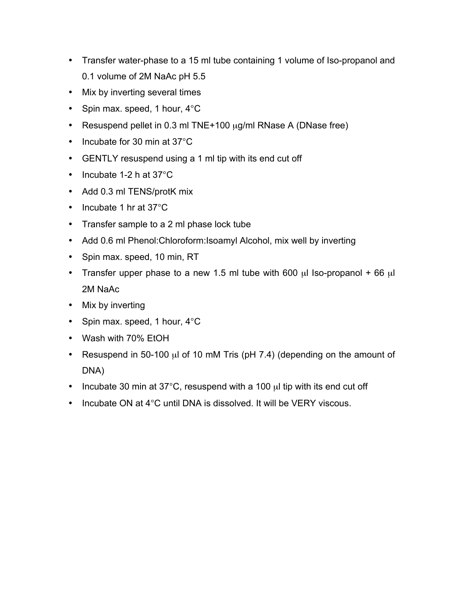- Transfer water-phase to a 15 ml tube containing 1 volume of Iso-propanol and 0.1 volume of 2M NaAc pH 5.5
- Mix by inverting several times
- Spin max. speed, 1 hour, 4°C
- Resuspend pellet in 0.3 ml TNE+100 µg/ml RNase A (DNase free)
- Incubate for 30 min at 37°C
- GENTLY resuspend using a 1 ml tip with its end cut off
- Incubate 1-2 h at 37°C
- Add 0.3 ml TENS/protK mix
- Incubate 1 hr at 37°C
- Transfer sample to a 2 ml phase lock tube
- Add 0.6 ml Phenol:Chloroform:Isoamyl Alcohol, mix well by inverting
- Spin max. speed, 10 min, RT
- Transfer upper phase to a new 1.5 ml tube with 600  $\mu$ l Iso-propanol + 66  $\mu$ l 2M NaAc
- Mix by inverting
- Spin max. speed, 1 hour, 4°C
- Wash with 70% EtOH
- Resuspend in 50-100 µl of 10 mM Tris (pH 7.4) (depending on the amount of DNA)
- Incubate 30 min at 37°C, resuspend with a 100 ul tip with its end cut off
- Incubate ON at 4°C until DNA is dissolved. It will be VERY viscous.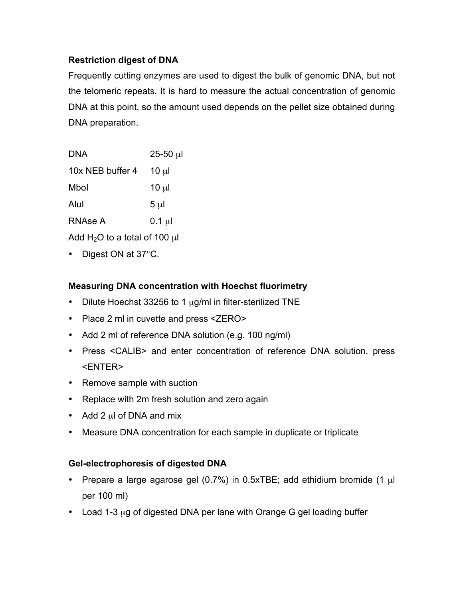# **Restriction digest of DNA**

Frequently cutting enzymes are used to digest the bulk of genomic DNA, but not the telomeric repeats. It is hard to measure the actual concentration of genomic DNA at this point, so the amount used depends on the pellet size obtained during DNA preparation.

| <b>DNA</b>                      | $25-50 \mu$ |
|---------------------------------|-------------|
| 10x NEB buffer 4                | $10 \mu$    |
| Mbol                            | $10 \mu$    |
| Alul                            | $5 \mu$     |
| <b>RNAse A</b>                  | $0.1 \mu$   |
| Add $H_2O$ to a total of 100 µl |             |

• Digest ON at 37°C.

## **Measuring DNA concentration with Hoechst fluorimetry**

- Dilute Hoechst 33256 to 1  $\mu$ g/ml in filter-sterilized TNE
- Place 2 ml in cuvette and press <ZERO>
- Add 2 ml of reference DNA solution (e.g. 100 ng/ml)
- Press <CALIB> and enter concentration of reference DNA solution, press <ENTER>
- Remove sample with suction
- Replace with 2m fresh solution and zero again
- Add 2  $\mu$  of DNA and mix
- Measure DNA concentration for each sample in duplicate or triplicate

# **Gel-electrophoresis of digested DNA**

- Prepare a large agarose gel  $(0.7%)$  in 0.5xTBE; add ethidium bromide  $(1 \mu I)$ per 100 ml)
- Load 1-3 µg of digested DNA per lane with Orange G gel loading buffer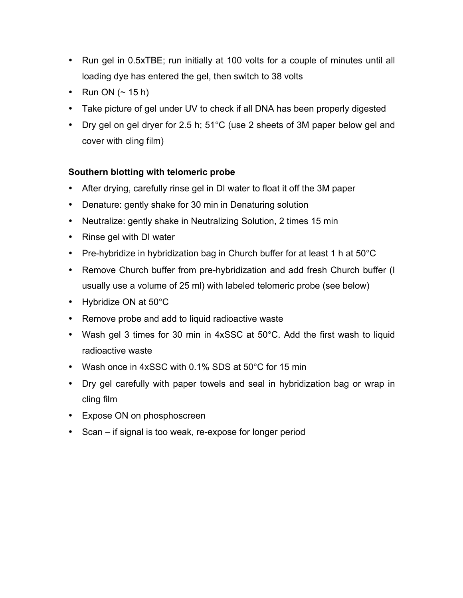- Run gel in 0.5xTBE; run initially at 100 volts for a couple of minutes until all loading dye has entered the gel, then switch to 38 volts
- Run ON  $($   $\sim$  15 h)
- Take picture of gel under UV to check if all DNA has been properly digested
- Dry gel on gel dryer for 2.5 h; 51°C (use 2 sheets of 3M paper below gel and cover with cling film)

# **Southern blotting with telomeric probe**

- After drying, carefully rinse gel in DI water to float it off the 3M paper
- Denature: gently shake for 30 min in Denaturing solution
- Neutralize: gently shake in Neutralizing Solution, 2 times 15 min
- Rinse gel with DI water
- Pre-hybridize in hybridization bag in Church buffer for at least 1 h at 50°C
- Remove Church buffer from pre-hybridization and add fresh Church buffer (I usually use a volume of 25 ml) with labeled telomeric probe (see below)
- Hybridize ON at 50°C
- Remove probe and add to liquid radioactive waste
- Wash gel 3 times for 30 min in 4xSSC at 50°C. Add the first wash to liquid radioactive waste
- Wash once in 4xSSC with 0.1% SDS at 50°C for 15 min
- Dry gel carefully with paper towels and seal in hybridization bag or wrap in cling film
- Expose ON on phosphoscreen
- Scan if signal is too weak, re-expose for longer period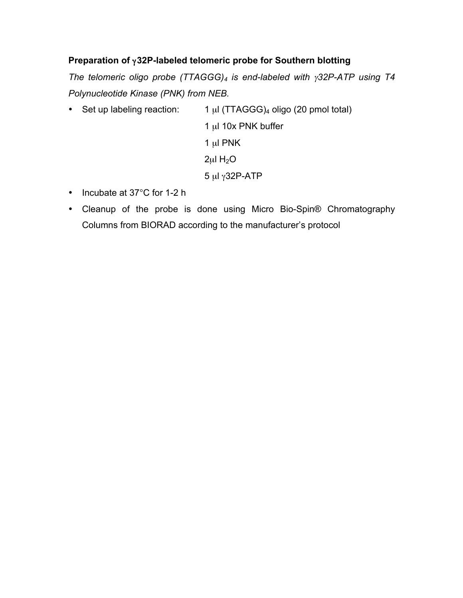## **Preparation of** γ**32P-labeled telomeric probe for Southern blotting**

*The telomeric oligo probe (TTAGGG)4 is end-labeled with* γ*32P-ATP using T4 Polynucleotide Kinase (PNK) from NEB.*

- Set up labeling reaction:  $1 \mu$ l (TTAGGG)<sub>4</sub> oligo (20 pmol total) 1 µl 10x PNK buffer 1 µl PNK  $2\mu$ I H<sub>2</sub>O 5 µl γ32P-ATP
- Incubate at 37°C for 1-2 h
- Cleanup of the probe is done using Micro Bio-Spin® Chromatography Columns from BIORAD according to the manufacturer's protocol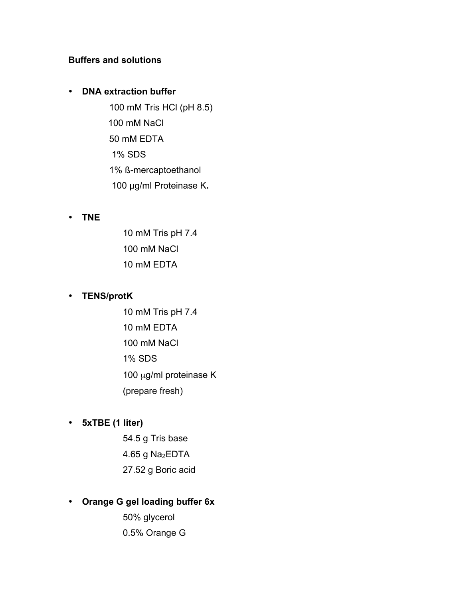### **Buffers and solutions**

#### • **DNA extraction buffer**

100 mM Tris HCl (pH 8.5) 100 mM NaCl 50 mM EDTA 1% SDS 1% ß-mercaptoethanol 100 µg/ml Proteinase K**.**

#### • **TNE**

10 mM Tris pH 7.4 100 mM NaCl 10 mM EDTA

#### • **TENS/protK**

- 10 mM Tris pH 7.4 10 mM EDTA 100 mM NaCl 1% SDS 100 µg/ml proteinase K (prepare fresh)
- **5xTBE (1 liter)**

54.5 g Tris base 4.65 g Na<sub>2</sub>EDTA 27.52 g Boric acid

## • **Orange G gel loading buffer 6x**

50% glycerol 0.5% Orange G